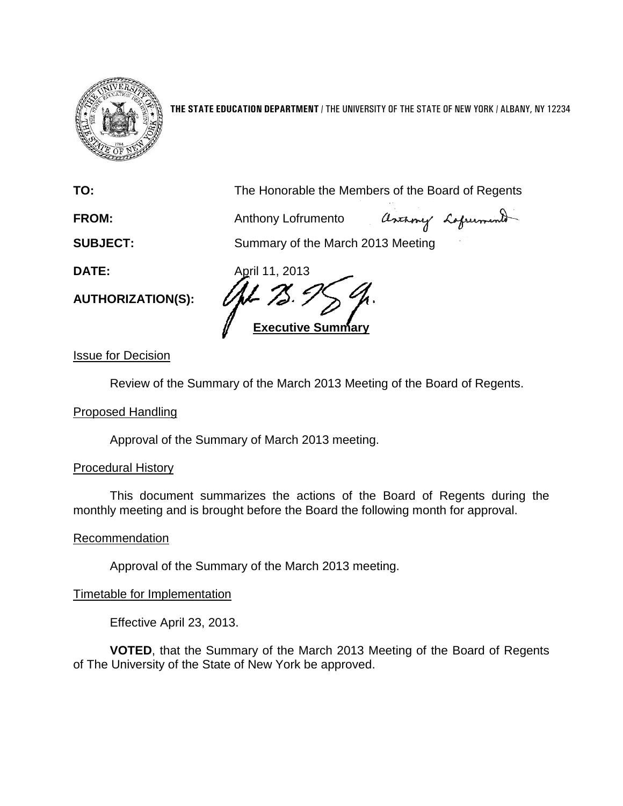

**THE STATE EDUCATION DEPARTMENT** / THE UNIVERSITY OF THE STATE OF NEW YORK / ALBANY, NY 12234

**TO:** The Honorable the Members of the Board of Regents

**FROM:** Anthony Lofrumento

Ascamy Lagrument

**SUBJECT:** Summary of the March 2013 Meeting

**AUTHORIZATION(S):**

**DATE:** April 11, 2013 **Executive Summary**

Issue for Decision

Review of the Summary of the March 2013 Meeting of the Board of Regents.

## Proposed Handling

Approval of the Summary of March 2013 meeting.

## Procedural History

This document summarizes the actions of the Board of Regents during the monthly meeting and is brought before the Board the following month for approval.

## Recommendation

Approval of the Summary of the March 2013 meeting.

## Timetable for Implementation

Effective April 23, 2013.

**VOTED**, that the Summary of the March 2013 Meeting of the Board of Regents of The University of the State of New York be approved.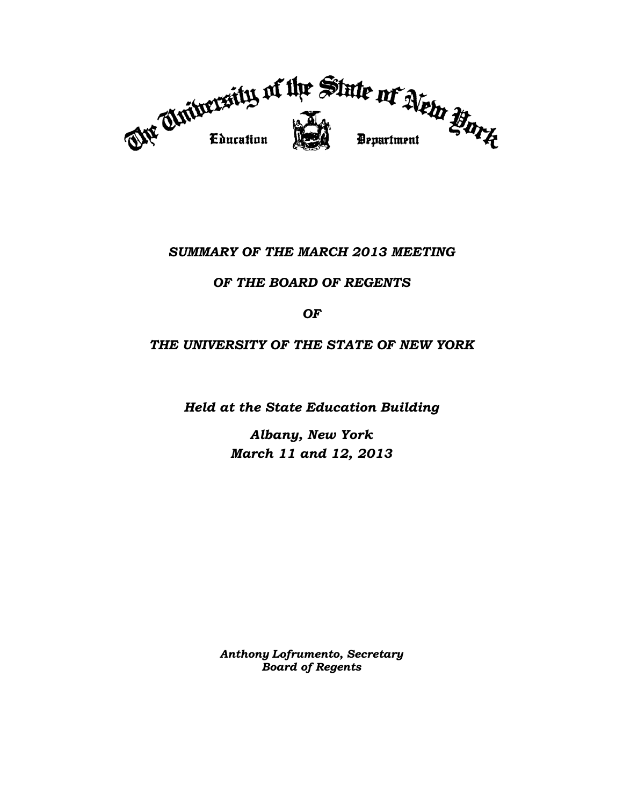

# *SUMMARY OF THE MARCH 2013 MEETING*

## *OF THE BOARD OF REGENTS*

## *OF*

## *THE UNIVERSITY OF THE STATE OF NEW YORK*

*Held at the State Education Building*

*Albany, New York March 11 and 12, 2013*

*Anthony Lofrumento, Secretary Board of Regents*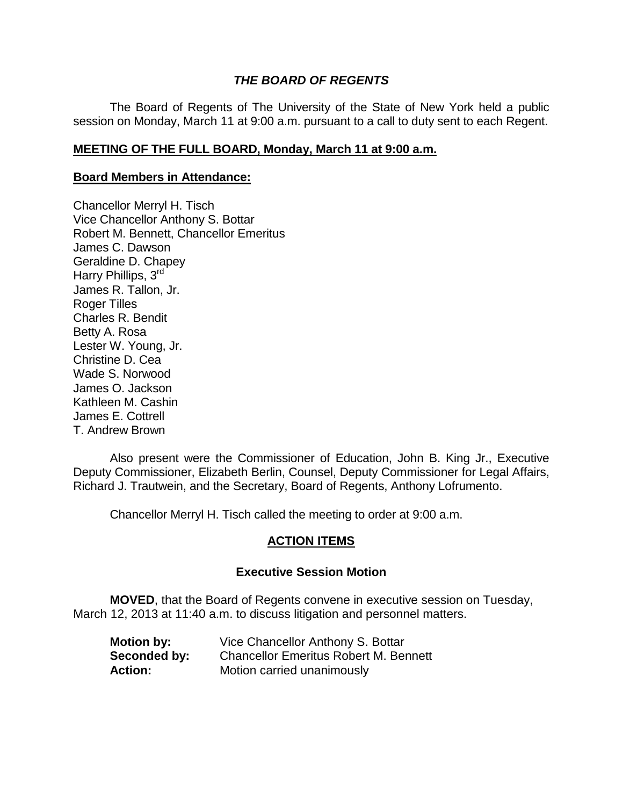## *THE BOARD OF REGENTS*

The Board of Regents of The University of the State of New York held a public session on Monday, March 11 at 9:00 a.m. pursuant to a call to duty sent to each Regent.

### **MEETING OF THE FULL BOARD, Monday, March 11 at 9:00 a.m.**

#### **Board Members in Attendance:**

Chancellor Merryl H. Tisch Vice Chancellor Anthony S. Bottar Robert M. Bennett, Chancellor Emeritus James C. Dawson Geraldine D. Chapey Harry Phillips, 3rd James R. Tallon, Jr. Roger Tilles Charles R. Bendit Betty A. Rosa Lester W. Young, Jr. Christine D. Cea Wade S. Norwood James O. Jackson Kathleen M. Cashin James E. Cottrell T. Andrew Brown

Also present were the Commissioner of Education, John B. King Jr., Executive Deputy Commissioner, Elizabeth Berlin, Counsel, Deputy Commissioner for Legal Affairs, Richard J. Trautwein, and the Secretary, Board of Regents, Anthony Lofrumento.

Chancellor Merryl H. Tisch called the meeting to order at 9:00 a.m.

## **ACTION ITEMS**

### **Executive Session Motion**

**MOVED**, that the Board of Regents convene in executive session on Tuesday, March 12, 2013 at 11:40 a.m. to discuss litigation and personnel matters.

| <b>Motion by:</b> | Vice Chancellor Anthony S. Bottar            |
|-------------------|----------------------------------------------|
| Seconded by:      | <b>Chancellor Emeritus Robert M. Bennett</b> |
| <b>Action:</b>    | Motion carried unanimously                   |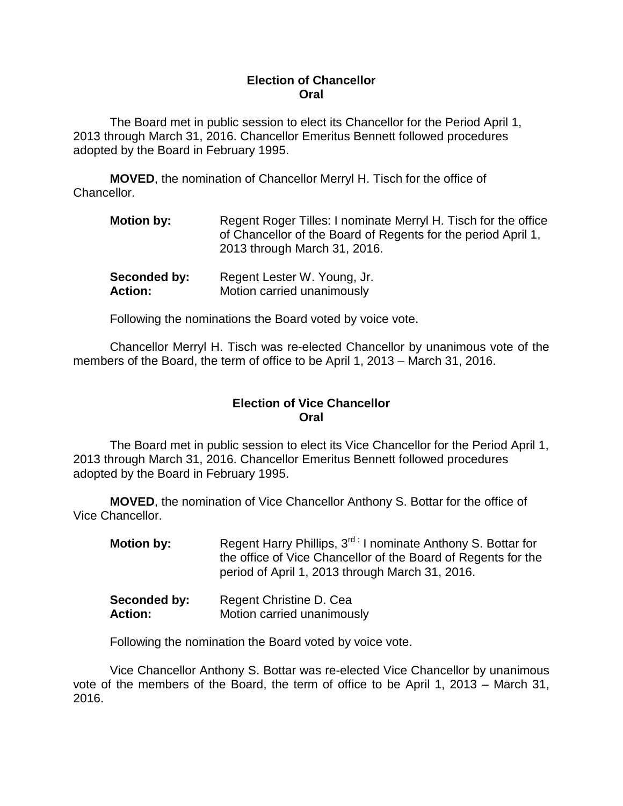### **Election of Chancellor Oral**

The Board met in public session to elect its Chancellor for the Period April 1, 2013 through March 31, 2016. Chancellor Emeritus Bennett followed procedures adopted by the Board in February 1995.

**MOVED**, the nomination of Chancellor Merryl H. Tisch for the office of Chancellor.

| <b>Motion by:</b> | Regent Roger Tilles: I nominate Merryl H. Tisch for the office<br>of Chancellor of the Board of Regents for the period April 1,<br>2013 through March 31, 2016. |
|-------------------|-----------------------------------------------------------------------------------------------------------------------------------------------------------------|
|                   |                                                                                                                                                                 |

| Seconded by:   | Regent Lester W. Young, Jr. |
|----------------|-----------------------------|
| <b>Action:</b> | Motion carried unanimously  |

Following the nominations the Board voted by voice vote.

Chancellor Merryl H. Tisch was re-elected Chancellor by unanimous vote of the members of the Board, the term of office to be April 1, 2013 – March 31, 2016.

## **Election of Vice Chancellor Oral**

The Board met in public session to elect its Vice Chancellor for the Period April 1, 2013 through March 31, 2016. Chancellor Emeritus Bennett followed procedures adopted by the Board in February 1995.

**MOVED**, the nomination of Vice Chancellor Anthony S. Bottar for the office of Vice Chancellor.

| <b>Motion by:</b> | Regent Harry Phillips, 3 <sup>rd:</sup> I nominate Anthony S. Bottar for<br>the office of Vice Chancellor of the Board of Regents for the<br>period of April 1, 2013 through March 31, 2016. |
|-------------------|----------------------------------------------------------------------------------------------------------------------------------------------------------------------------------------------|
| Seconded by:      | Regent Christine D. Cea                                                                                                                                                                      |

| oeconueu py.   | <b>INGYGHI OHIIGHIG D. OGA</b> |
|----------------|--------------------------------|
| <b>Action:</b> | Motion carried unanimously     |

Following the nomination the Board voted by voice vote.

Vice Chancellor Anthony S. Bottar was re-elected Vice Chancellor by unanimous vote of the members of the Board, the term of office to be April 1, 2013 – March 31, 2016.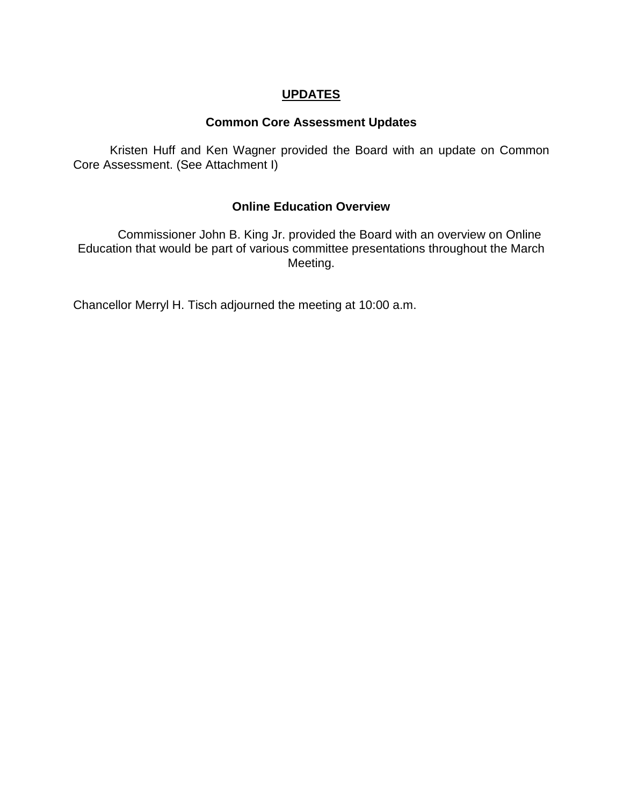# **UPDATES**

## **Common Core Assessment Updates**

Kristen Huff and Ken Wagner provided the Board with an update on Common Core Assessment. (See Attachment I)

## **Online Education Overview**

Commissioner John B. King Jr. provided the Board with an overview on Online Education that would be part of various committee presentations throughout the March Meeting.

Chancellor Merryl H. Tisch adjourned the meeting at 10:00 a.m.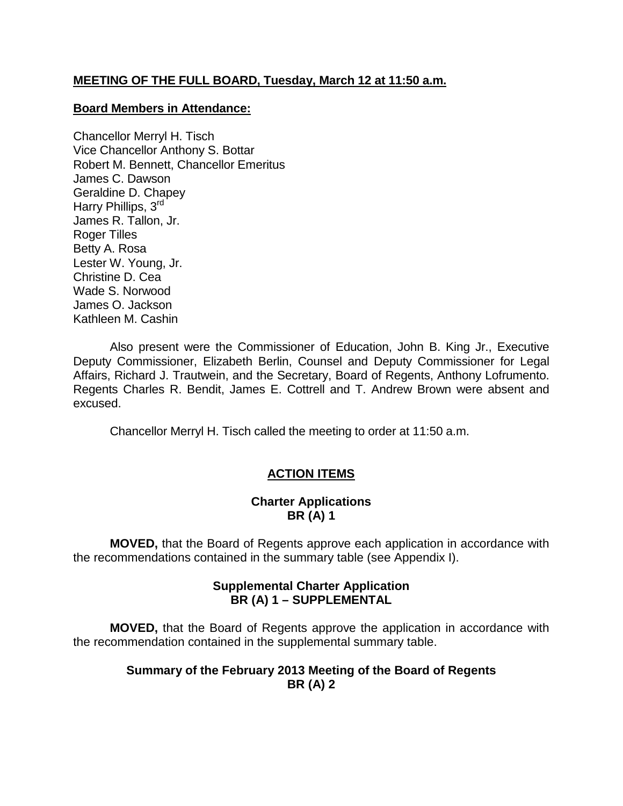## **MEETING OF THE FULL BOARD, Tuesday, March 12 at 11:50 a.m.**

### **Board Members in Attendance:**

Chancellor Merryl H. Tisch Vice Chancellor Anthony S. Bottar Robert M. Bennett, Chancellor Emeritus James C. Dawson Geraldine D. Chapey Harry Phillips, 3rd James R. Tallon, Jr. Roger Tilles Betty A. Rosa Lester W. Young, Jr. Christine D. Cea Wade S. Norwood James O. Jackson Kathleen M. Cashin

Also present were the Commissioner of Education, John B. King Jr., Executive Deputy Commissioner, Elizabeth Berlin, Counsel and Deputy Commissioner for Legal Affairs, Richard J. Trautwein, and the Secretary, Board of Regents, Anthony Lofrumento. Regents Charles R. Bendit, James E. Cottrell and T. Andrew Brown were absent and excused.

Chancellor Merryl H. Tisch called the meeting to order at 11:50 a.m.

## **ACTION ITEMS**

## **Charter Applications BR (A) 1**

**MOVED,** that the Board of Regents approve each application in accordance with the recommendations contained in the summary table (see Appendix I).

## **Supplemental Charter Application BR (A) 1 – SUPPLEMENTAL**

**MOVED,** that the Board of Regents approve the application in accordance with the recommendation contained in the supplemental summary table.

## **Summary of the February 2013 Meeting of the Board of Regents BR (A) 2**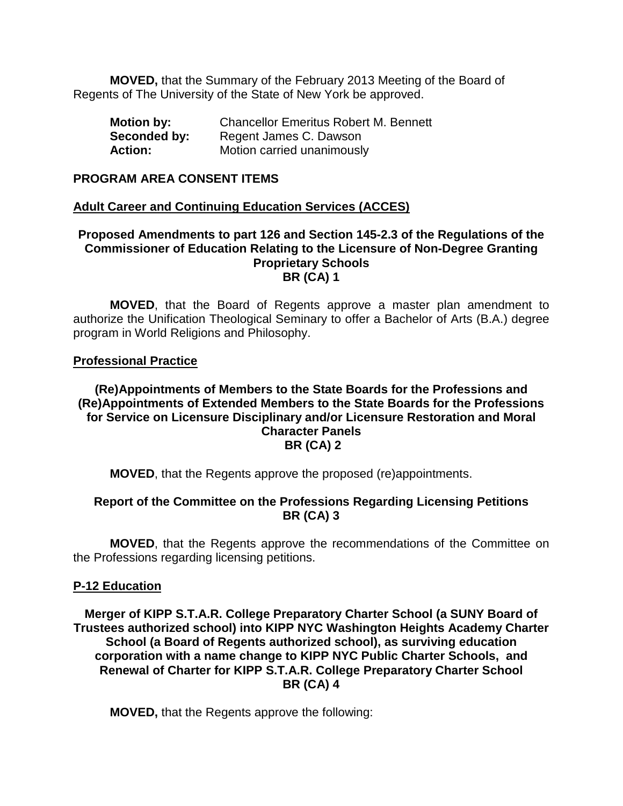**MOVED,** that the Summary of the February 2013 Meeting of the Board of Regents of The University of the State of New York be approved.

| <b>Motion by:</b> | <b>Chancellor Emeritus Robert M. Bennett</b> |
|-------------------|----------------------------------------------|
| Seconded by:      | Regent James C. Dawson                       |
| <b>Action:</b>    | Motion carried unanimously                   |

#### **PROGRAM AREA CONSENT ITEMS**

### **Adult Career and Continuing Education Services (ACCES)**

#### **Proposed Amendments to part 126 and Section 145-2.3 of the Regulations of the Commissioner of Education Relating to the Licensure of Non-Degree Granting Proprietary Schools BR (CA) 1**

**MOVED**, that the Board of Regents approve a master plan amendment to authorize the Unification Theological Seminary to offer a Bachelor of Arts (B.A.) degree program in World Religions and Philosophy.

#### **Professional Practice**

### **(Re)Appointments of Members to the State Boards for the Professions and (Re)Appointments of Extended Members to the State Boards for the Professions for Service on Licensure Disciplinary and/or Licensure Restoration and Moral Character Panels BR (CA) 2**

**MOVED**, that the Regents approve the proposed (re)appointments.

## **Report of the Committee on the Professions Regarding Licensing Petitions BR (CA) 3**

**MOVED**, that the Regents approve the recommendations of the Committee on the Professions regarding licensing petitions.

#### **P-12 Education**

**Merger of KIPP S.T.A.R. College Preparatory Charter School (a SUNY Board of Trustees authorized school) into KIPP NYC Washington Heights Academy Charter School (a Board of Regents authorized school), as surviving education corporation with a name change to KIPP NYC Public Charter Schools, and Renewal of Charter for KIPP S.T.A.R. College Preparatory Charter School BR (CA) 4**

**MOVED,** that the Regents approve the following: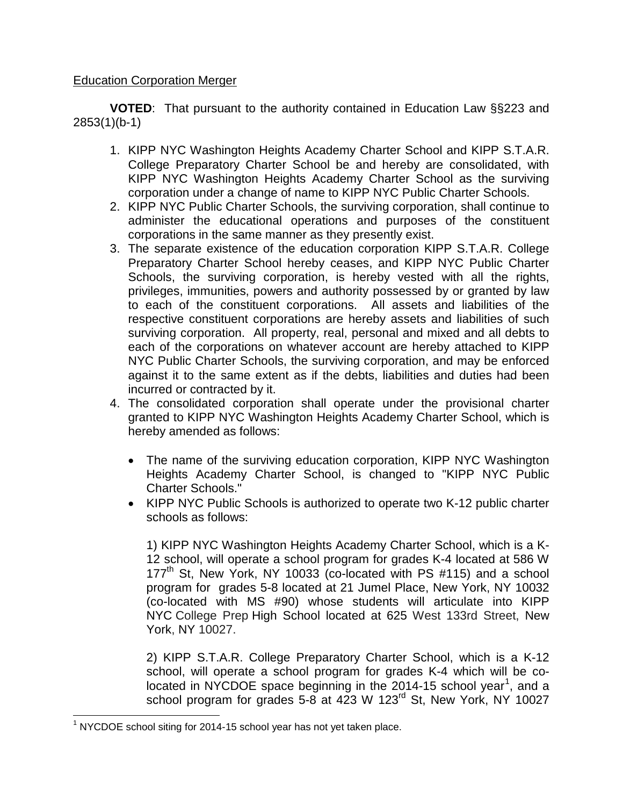## Education Corporation Merger

**VOTED**: That pursuant to the authority contained in Education Law §§223 and 2853(1)(b-1)

- 1. KIPP NYC Washington Heights Academy Charter School and KIPP S.T.A.R. College Preparatory Charter School be and hereby are consolidated, with KIPP NYC Washington Heights Academy Charter School as the surviving corporation under a change of name to KIPP NYC Public Charter Schools.
- 2. KIPP NYC Public Charter Schools, the surviving corporation, shall continue to administer the educational operations and purposes of the constituent corporations in the same manner as they presently exist.
- 3. The separate existence of the education corporation KIPP S.T.A.R. College Preparatory Charter School hereby ceases, and KIPP NYC Public Charter Schools, the surviving corporation, is hereby vested with all the rights, privileges, immunities, powers and authority possessed by or granted by law to each of the constituent corporations. All assets and liabilities of the respective constituent corporations are hereby assets and liabilities of such surviving corporation. All property, real, personal and mixed and all debts to each of the corporations on whatever account are hereby attached to KIPP NYC Public Charter Schools, the surviving corporation, and may be enforced against it to the same extent as if the debts, liabilities and duties had been incurred or contracted by it.
- 4. The consolidated corporation shall operate under the provisional charter granted to KIPP NYC Washington Heights Academy Charter School, which is hereby amended as follows:
	- The name of the surviving education corporation, KIPP NYC Washington Heights Academy Charter School, is changed to "KIPP NYC Public Charter Schools."
	- KIPP NYC Public Schools is authorized to operate two K-12 public charter schools as follows:

1) KIPP NYC Washington Heights Academy Charter School, which is a K-12 school, will operate a school program for grades K-4 located at 586 W 177<sup>th</sup> St, New York, NY 10033 (co-located with PS  $\#115$ ) and a school program for grades 5-8 located at 21 Jumel Place, New York, NY 10032 (co-located with MS #90) whose students will articulate into KIPP NYC College Prep High School located at 625 West 133rd Street, New York, NY 10027.

2) KIPP S.T.A.R. College Preparatory Charter School, which is a K-12 school, will operate a school program for grades K-4 which will be co-located in NYCDOE space beginning in the 20[1](#page-7-0)4-15 school year<sup>1</sup>, and a school program for grades 5-8 at 423 W 123<sup>rd</sup> St, New York, NY 10027

<span id="page-7-0"></span> $1$  NYCDOE school siting for 2014-15 school year has not yet taken place.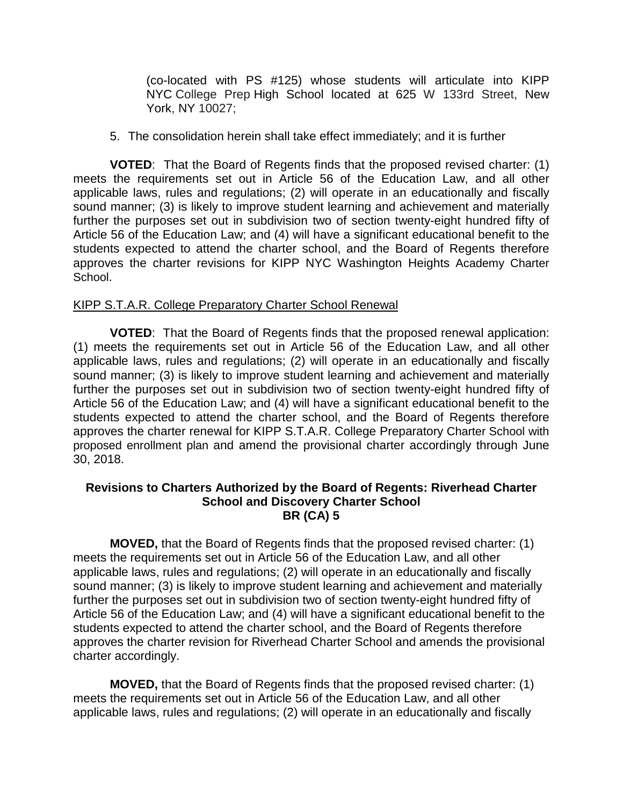(co-located with PS #125) whose students will articulate into KIPP NYC College Prep High School located at 625 W 133rd Street, New York, NY 10027;

5. The consolidation herein shall take effect immediately; and it is further

**VOTED**: That the Board of Regents finds that the proposed revised charter: (1) meets the requirements set out in Article 56 of the Education Law, and all other applicable laws, rules and regulations; (2) will operate in an educationally and fiscally sound manner; (3) is likely to improve student learning and achievement and materially further the purposes set out in subdivision two of section twenty-eight hundred fifty of Article 56 of the Education Law; and (4) will have a significant educational benefit to the students expected to attend the charter school, and the Board of Regents therefore approves the charter revisions for KIPP NYC Washington Heights Academy Charter School.

## KIPP S.T.A.R. College Preparatory Charter School Renewal

**VOTED**: That the Board of Regents finds that the proposed renewal application: (1) meets the requirements set out in Article 56 of the Education Law, and all other applicable laws, rules and regulations; (2) will operate in an educationally and fiscally sound manner; (3) is likely to improve student learning and achievement and materially further the purposes set out in subdivision two of section twenty-eight hundred fifty of Article 56 of the Education Law; and (4) will have a significant educational benefit to the students expected to attend the charter school, and the Board of Regents therefore approves the charter renewal for KIPP S.T.A.R. College Preparatory Charter School with proposed enrollment plan and amend the provisional charter accordingly through June 30, 2018.

### **Revisions to Charters Authorized by the Board of Regents: Riverhead Charter School and Discovery Charter School BR (CA) 5**

**MOVED,** that the Board of Regents finds that the proposed revised charter: (1) meets the requirements set out in Article 56 of the Education Law, and all other applicable laws, rules and regulations; (2) will operate in an educationally and fiscally sound manner; (3) is likely to improve student learning and achievement and materially further the purposes set out in subdivision two of section twenty-eight hundred fifty of Article 56 of the Education Law; and (4) will have a significant educational benefit to the students expected to attend the charter school, and the Board of Regents therefore approves the charter revision for Riverhead Charter School and amends the provisional charter accordingly.

**MOVED,** that the Board of Regents finds that the proposed revised charter: (1) meets the requirements set out in Article 56 of the Education Law, and all other applicable laws, rules and regulations; (2) will operate in an educationally and fiscally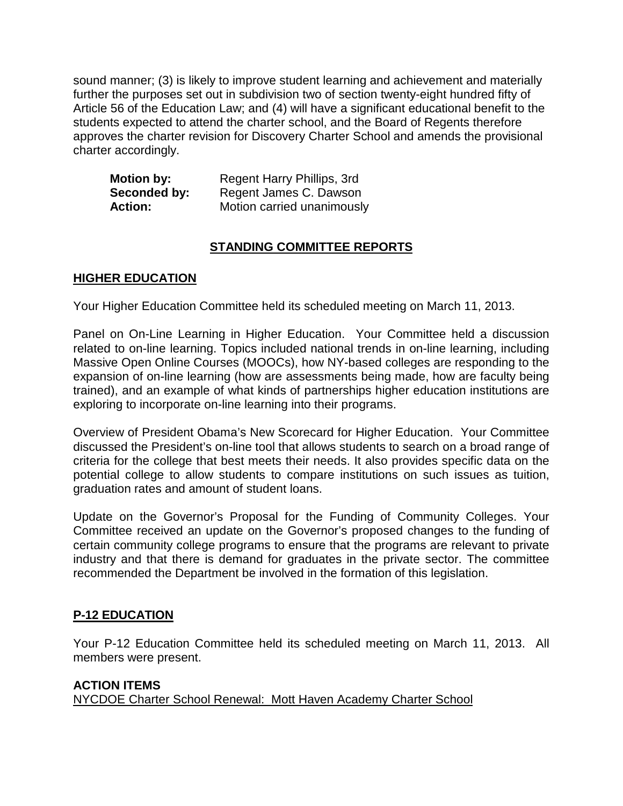sound manner; (3) is likely to improve student learning and achievement and materially further the purposes set out in subdivision two of section twenty-eight hundred fifty of Article 56 of the Education Law; and (4) will have a significant educational benefit to the students expected to attend the charter school, and the Board of Regents therefore approves the charter revision for Discovery Charter School and amends the provisional charter accordingly.

| <b>Motion by:</b> | Regent Harry Phillips, 3rd |
|-------------------|----------------------------|
| Seconded by:      | Regent James C. Dawson     |
| <b>Action:</b>    | Motion carried unanimously |

## **STANDING COMMITTEE REPORTS**

## **HIGHER EDUCATION**

Your Higher Education Committee held its scheduled meeting on March 11, 2013.

Panel on On-Line Learning in Higher Education. Your Committee held a discussion related to on-line learning. Topics included national trends in on-line learning, including Massive Open Online Courses (MOOCs), how NY-based colleges are responding to the expansion of on-line learning (how are assessments being made, how are faculty being trained), and an example of what kinds of partnerships higher education institutions are exploring to incorporate on-line learning into their programs.

Overview of President Obama's New Scorecard for Higher Education. Your Committee discussed the President's on-line tool that allows students to search on a broad range of criteria for the college that best meets their needs. It also provides specific data on the potential college to allow students to compare institutions on such issues as tuition, graduation rates and amount of student loans.

Update on the Governor's Proposal for the Funding of Community Colleges. Your Committee received an update on the Governor's proposed changes to the funding of certain community college programs to ensure that the programs are relevant to private industry and that there is demand for graduates in the private sector. The committee recommended the Department be involved in the formation of this legislation.

## **P-12 EDUCATION**

Your P-12 Education Committee held its scheduled meeting on March 11, 2013. All members were present.

## **ACTION ITEMS** NYCDOE Charter School Renewal: Mott Haven Academy Charter School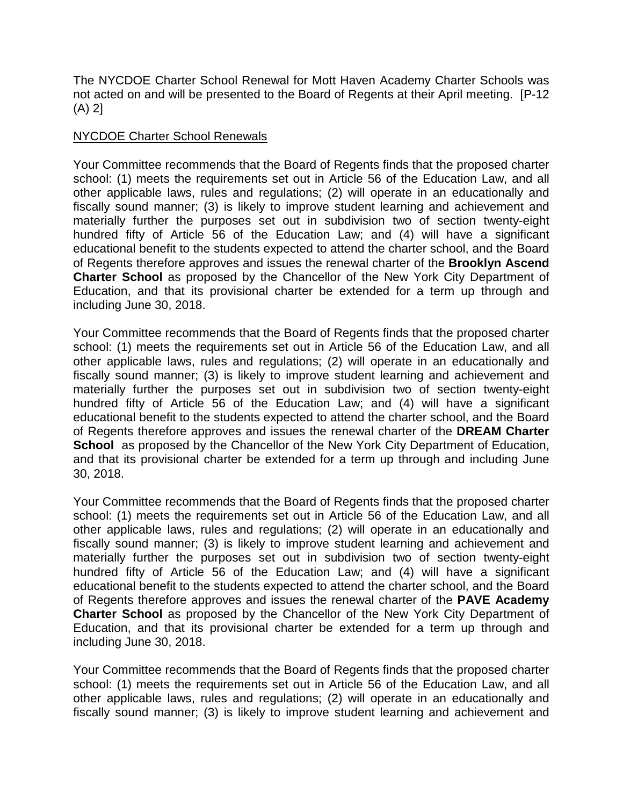The NYCDOE Charter School Renewal for Mott Haven Academy Charter Schools was not acted on and will be presented to the Board of Regents at their April meeting. [P-12 (A) 2]

## NYCDOE Charter School Renewals

Your Committee recommends that the Board of Regents finds that the proposed charter school: (1) meets the requirements set out in Article 56 of the Education Law, and all other applicable laws, rules and regulations; (2) will operate in an educationally and fiscally sound manner; (3) is likely to improve student learning and achievement and materially further the purposes set out in subdivision two of section twenty-eight hundred fifty of Article 56 of the Education Law; and (4) will have a significant educational benefit to the students expected to attend the charter school, and the Board of Regents therefore approves and issues the renewal charter of the **Brooklyn Ascend Charter School** as proposed by the Chancellor of the New York City Department of Education, and that its provisional charter be extended for a term up through and including June 30, 2018.

Your Committee recommends that the Board of Regents finds that the proposed charter school: (1) meets the requirements set out in Article 56 of the Education Law, and all other applicable laws, rules and regulations; (2) will operate in an educationally and fiscally sound manner; (3) is likely to improve student learning and achievement and materially further the purposes set out in subdivision two of section twenty-eight hundred fifty of Article 56 of the Education Law; and (4) will have a significant educational benefit to the students expected to attend the charter school, and the Board of Regents therefore approves and issues the renewal charter of the **DREAM Charter School** as proposed by the Chancellor of the New York City Department of Education, and that its provisional charter be extended for a term up through and including June 30, 2018.

Your Committee recommends that the Board of Regents finds that the proposed charter school: (1) meets the requirements set out in Article 56 of the Education Law, and all other applicable laws, rules and regulations; (2) will operate in an educationally and fiscally sound manner; (3) is likely to improve student learning and achievement and materially further the purposes set out in subdivision two of section twenty-eight hundred fifty of Article 56 of the Education Law; and (4) will have a significant educational benefit to the students expected to attend the charter school, and the Board of Regents therefore approves and issues the renewal charter of the **PAVE Academy Charter School** as proposed by the Chancellor of the New York City Department of Education, and that its provisional charter be extended for a term up through and including June 30, 2018.

Your Committee recommends that the Board of Regents finds that the proposed charter school: (1) meets the requirements set out in Article 56 of the Education Law, and all other applicable laws, rules and regulations; (2) will operate in an educationally and fiscally sound manner; (3) is likely to improve student learning and achievement and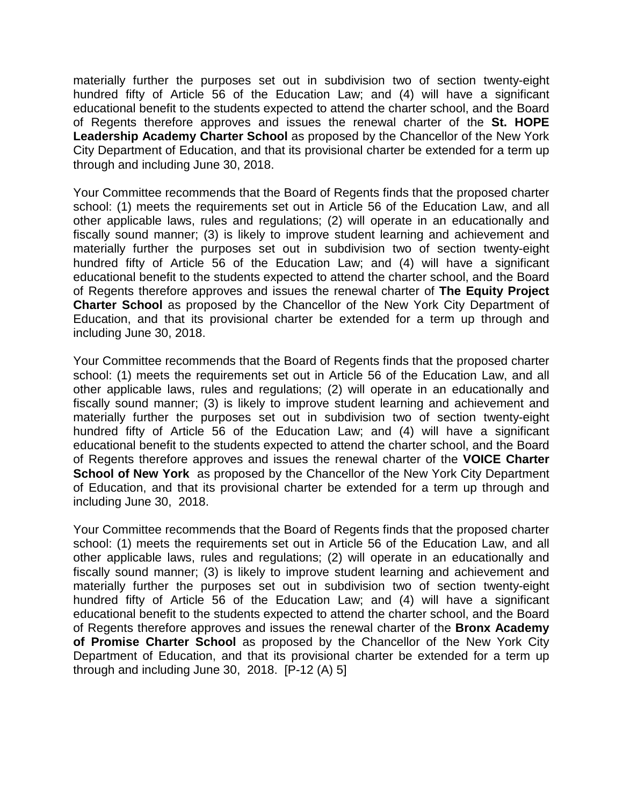materially further the purposes set out in subdivision two of section twenty-eight hundred fifty of Article 56 of the Education Law; and (4) will have a significant educational benefit to the students expected to attend the charter school, and the Board of Regents therefore approves and issues the renewal charter of the **St. HOPE Leadership Academy Charter School** as proposed by the Chancellor of the New York City Department of Education, and that its provisional charter be extended for a term up through and including June 30, 2018.

Your Committee recommends that the Board of Regents finds that the proposed charter school: (1) meets the requirements set out in Article 56 of the Education Law, and all other applicable laws, rules and regulations; (2) will operate in an educationally and fiscally sound manner; (3) is likely to improve student learning and achievement and materially further the purposes set out in subdivision two of section twenty-eight hundred fifty of Article 56 of the Education Law; and (4) will have a significant educational benefit to the students expected to attend the charter school, and the Board of Regents therefore approves and issues the renewal charter of **The Equity Project Charter School** as proposed by the Chancellor of the New York City Department of Education, and that its provisional charter be extended for a term up through and including June 30, 2018.

Your Committee recommends that the Board of Regents finds that the proposed charter school: (1) meets the requirements set out in Article 56 of the Education Law, and all other applicable laws, rules and regulations; (2) will operate in an educationally and fiscally sound manner; (3) is likely to improve student learning and achievement and materially further the purposes set out in subdivision two of section twenty-eight hundred fifty of Article 56 of the Education Law; and (4) will have a significant educational benefit to the students expected to attend the charter school, and the Board of Regents therefore approves and issues the renewal charter of the **VOICE Charter School of New York** as proposed by the Chancellor of the New York City Department of Education, and that its provisional charter be extended for a term up through and including June 30, 2018.

Your Committee recommends that the Board of Regents finds that the proposed charter school: (1) meets the requirements set out in Article 56 of the Education Law, and all other applicable laws, rules and regulations; (2) will operate in an educationally and fiscally sound manner; (3) is likely to improve student learning and achievement and materially further the purposes set out in subdivision two of section twenty-eight hundred fifty of Article 56 of the Education Law; and (4) will have a significant educational benefit to the students expected to attend the charter school, and the Board of Regents therefore approves and issues the renewal charter of the **Bronx Academy of Promise Charter School** as proposed by the Chancellor of the New York City Department of Education, and that its provisional charter be extended for a term up through and including June 30, 2018. [P-12 (A) 5]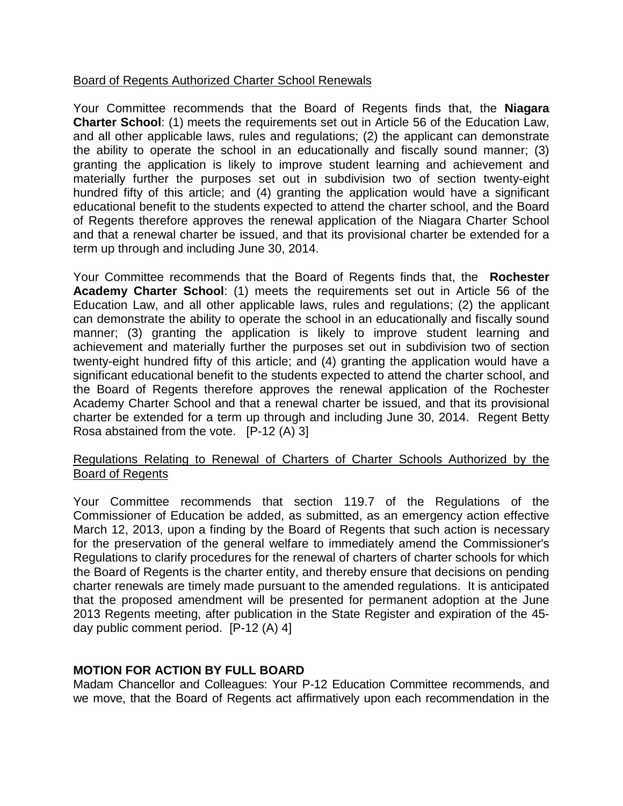## Board of Regents Authorized Charter School Renewals

Your Committee recommends that the Board of Regents finds that, the **Niagara Charter School**: (1) meets the requirements set out in Article 56 of the Education Law, and all other applicable laws, rules and regulations; (2) the applicant can demonstrate the ability to operate the school in an educationally and fiscally sound manner; (3) granting the application is likely to improve student learning and achievement and materially further the purposes set out in subdivision two of section twenty-eight hundred fifty of this article; and (4) granting the application would have a significant educational benefit to the students expected to attend the charter school, and the Board of Regents therefore approves the renewal application of the Niagara Charter School and that a renewal charter be issued, and that its provisional charter be extended for a term up through and including June 30, 2014.

Your Committee recommends that the Board of Regents finds that, the **Rochester Academy Charter School**: (1) meets the requirements set out in Article 56 of the Education Law, and all other applicable laws, rules and regulations; (2) the applicant can demonstrate the ability to operate the school in an educationally and fiscally sound manner; (3) granting the application is likely to improve student learning and achievement and materially further the purposes set out in subdivision two of section twenty-eight hundred fifty of this article; and (4) granting the application would have a significant educational benefit to the students expected to attend the charter school, and the Board of Regents therefore approves the renewal application of the Rochester Academy Charter School and that a renewal charter be issued, and that its provisional charter be extended for a term up through and including June 30, 2014. Regent Betty Rosa abstained from the vote. [P-12 (A) 3]

### Regulations Relating to Renewal of Charters of Charter Schools Authorized by the Board of Regents

Your Committee recommends that section 119.7 of the Regulations of the Commissioner of Education be added, as submitted, as an emergency action effective March 12, 2013, upon a finding by the Board of Regents that such action is necessary for the preservation of the general welfare to immediately amend the Commissioner's Regulations to clarify procedures for the renewal of charters of charter schools for which the Board of Regents is the charter entity, and thereby ensure that decisions on pending charter renewals are timely made pursuant to the amended regulations. It is anticipated that the proposed amendment will be presented for permanent adoption at the June 2013 Regents meeting, after publication in the State Register and expiration of the 45 day public comment period. [P-12 (A) 4]

## **MOTION FOR ACTION BY FULL BOARD**

Madam Chancellor and Colleagues: Your P-12 Education Committee recommends, and we move, that the Board of Regents act affirmatively upon each recommendation in the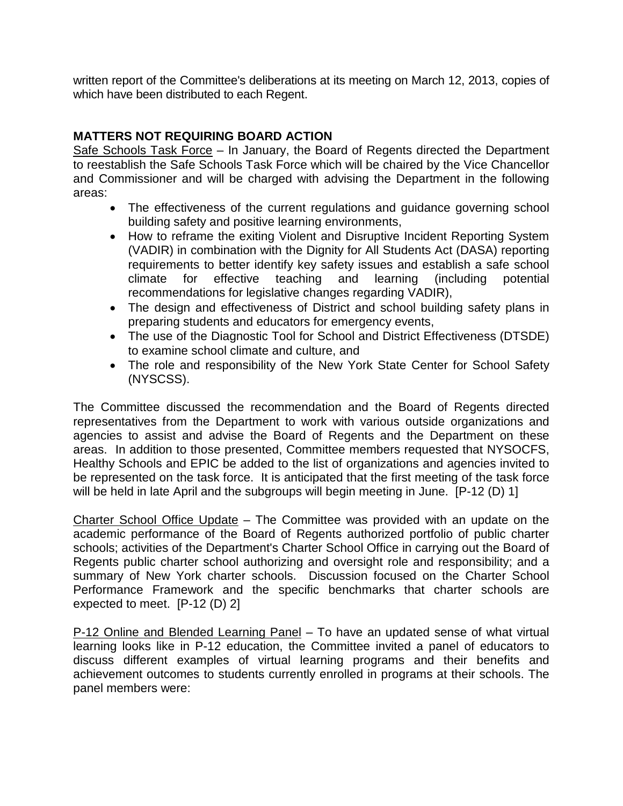written report of the Committee's deliberations at its meeting on March 12, 2013, copies of which have been distributed to each Regent.

# **MATTERS NOT REQUIRING BOARD ACTION**

Safe Schools Task Force - In January, the Board of Regents directed the Department to reestablish the Safe Schools Task Force which will be chaired by the Vice Chancellor and Commissioner and will be charged with advising the Department in the following areas:

- The effectiveness of the current regulations and guidance governing school building safety and positive learning environments,
- How to reframe the exiting Violent and Disruptive Incident Reporting System (VADIR) in combination with the Dignity for All Students Act (DASA) reporting requirements to better identify key safety issues and establish a safe school climate for effective teaching and learning (including potential recommendations for legislative changes regarding VADIR),
- The design and effectiveness of District and school building safety plans in preparing students and educators for emergency events,
- The use of the Diagnostic Tool for School and District Effectiveness (DTSDE) to examine school climate and culture, and
- The role and responsibility of the New York State Center for School Safety (NYSCSS).

The Committee discussed the recommendation and the Board of Regents directed representatives from the Department to work with various outside organizations and agencies to assist and advise the Board of Regents and the Department on these areas. In addition to those presented, Committee members requested that NYSOCFS, Healthy Schools and EPIC be added to the list of organizations and agencies invited to be represented on the task force. It is anticipated that the first meeting of the task force will be held in late April and the subgroups will begin meeting in June. [P-12 (D) 1]

Charter School Office Update – The Committee was provided with an update on the academic performance of the Board of Regents authorized portfolio of public charter schools; activities of the Department's Charter School Office in carrying out the Board of Regents public charter school authorizing and oversight role and responsibility; and a summary of New York charter schools. Discussion focused on the Charter School Performance Framework and the specific benchmarks that charter schools are expected to meet. [P-12 (D) 2]

P-12 Online and Blended Learning Panel – To have an updated sense of what virtual learning looks like in P-12 education, the Committee invited a panel of educators to discuss different examples of virtual learning programs and their benefits and achievement outcomes to students currently enrolled in programs at their schools. The panel members were: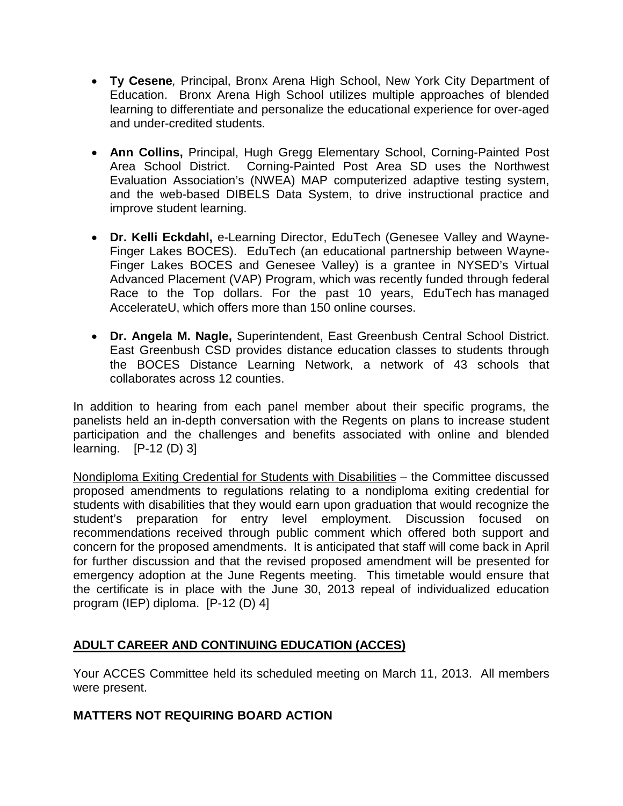- **Ty Cesene***,* Principal, Bronx Arena High School, New York City Department of Education. Bronx Arena High School utilizes multiple approaches of blended learning to differentiate and personalize the educational experience for over-aged and under-credited students.
- **Ann Collins,** Principal, Hugh Gregg Elementary School, Corning-Painted Post Area School District. Corning-Painted Post Area SD uses the Northwest Evaluation Association's (NWEA) MAP computerized adaptive testing system, and the web-based DIBELS Data System, to drive instructional practice and improve student learning.
- **Dr. Kelli Eckdahl,** e-Learning Director, EduTech (Genesee Valley and Wayne-Finger Lakes BOCES). EduTech (an educational partnership between Wayne-Finger Lakes BOCES and Genesee Valley) is a grantee in NYSED's Virtual Advanced Placement (VAP) Program, which was recently funded through federal Race to the Top dollars. For the past 10 years, EduTech has managed AccelerateU, which offers more than 150 online courses.
- **Dr. Angela M. Nagle,** Superintendent, East Greenbush Central School District. East Greenbush CSD provides distance education classes to students through the BOCES Distance Learning Network, a network of 43 schools that collaborates across 12 counties.

In addition to hearing from each panel member about their specific programs, the panelists held an in-depth conversation with the Regents on plans to increase student participation and the challenges and benefits associated with online and blended learning. [P-12 (D) 3]

Nondiploma Exiting Credential for Students with Disabilities – the Committee discussed proposed amendments to regulations relating to a nondiploma exiting credential for students with disabilities that they would earn upon graduation that would recognize the student's preparation for entry level employment. Discussion focused on recommendations received through public comment which offered both support and concern for the proposed amendments. It is anticipated that staff will come back in April for further discussion and that the revised proposed amendment will be presented for emergency adoption at the June Regents meeting. This timetable would ensure that the certificate is in place with the June 30, 2013 repeal of individualized education program (IEP) diploma. [P-12 (D) 4]

# **ADULT CAREER AND CONTINUING EDUCATION (ACCES)**

Your ACCES Committee held its scheduled meeting on March 11, 2013. All members were present.

## **MATTERS NOT REQUIRING BOARD ACTION**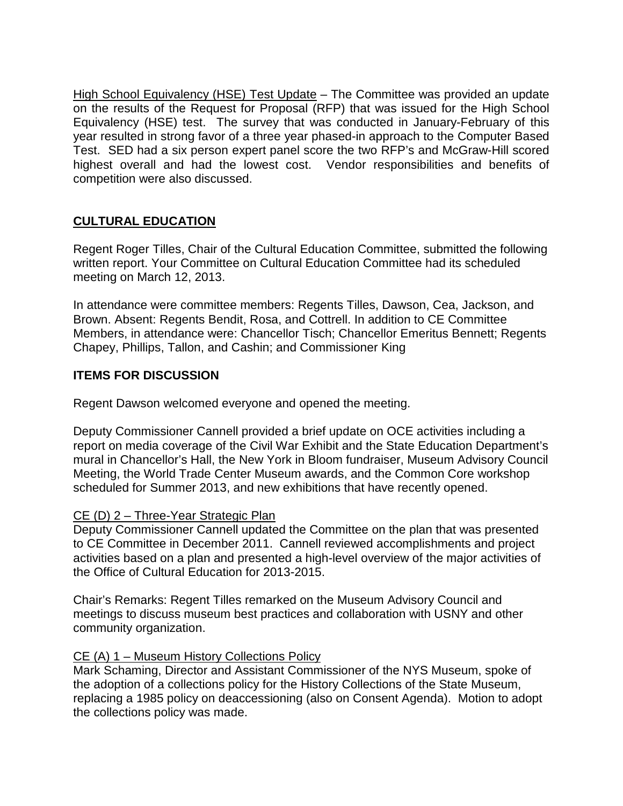High School Equivalency (HSE) Test Update - The Committee was provided an update on the results of the Request for Proposal (RFP) that was issued for the High School Equivalency (HSE) test. The survey that was conducted in January-February of this year resulted in strong favor of a three year phased-in approach to the Computer Based Test. SED had a six person expert panel score the two RFP's and McGraw-Hill scored highest overall and had the lowest cost. Vendor responsibilities and benefits of competition were also discussed.

## **CULTURAL EDUCATION**

Regent Roger Tilles, Chair of the Cultural Education Committee, submitted the following written report. Your Committee on Cultural Education Committee had its scheduled meeting on March 12, 2013.

In attendance were committee members: Regents Tilles, Dawson, Cea, Jackson, and Brown. Absent: Regents Bendit, Rosa, and Cottrell. In addition to CE Committee Members, in attendance were: Chancellor Tisch; Chancellor Emeritus Bennett; Regents Chapey, Phillips, Tallon, and Cashin; and Commissioner King

## **ITEMS FOR DISCUSSION**

Regent Dawson welcomed everyone and opened the meeting.

Deputy Commissioner Cannell provided a brief update on OCE activities including a report on media coverage of the Civil War Exhibit and the State Education Department's mural in Chancellor's Hall, the New York in Bloom fundraiser, Museum Advisory Council Meeting, the World Trade Center Museum awards, and the Common Core workshop scheduled for Summer 2013, and new exhibitions that have recently opened.

## CE (D) 2 - Three-Year Strategic Plan

Deputy Commissioner Cannell updated the Committee on the plan that was presented to CE Committee in December 2011. Cannell reviewed accomplishments and project activities based on a plan and presented a high-level overview of the major activities of the Office of Cultural Education for 2013-2015.

Chair's Remarks: Regent Tilles remarked on the Museum Advisory Council and meetings to discuss museum best practices and collaboration with USNY and other community organization.

## CE (A) 1 – Museum History Collections Policy

Mark Schaming, Director and Assistant Commissioner of the NYS Museum, spoke of the adoption of a collections policy for the History Collections of the State Museum, replacing a 1985 policy on deaccessioning (also on Consent Agenda). Motion to adopt the collections policy was made.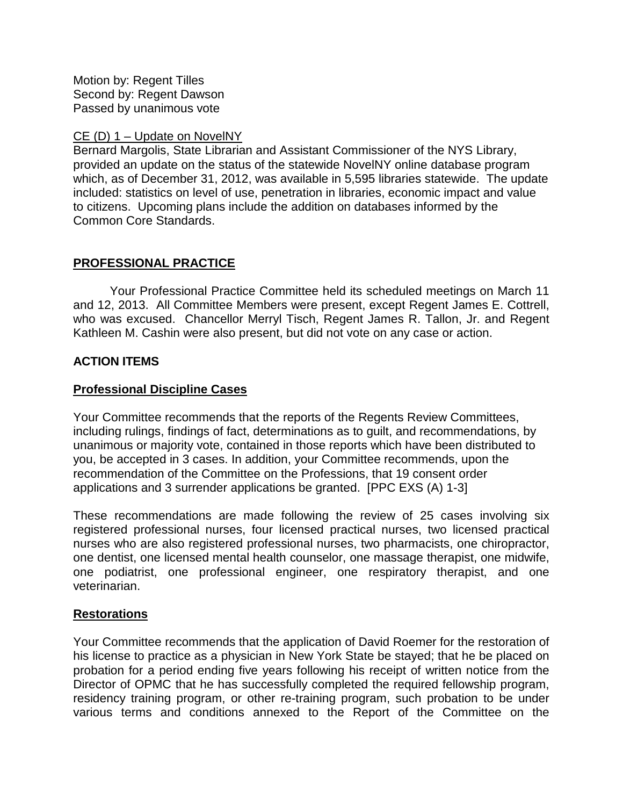Motion by: Regent Tilles Second by: Regent Dawson Passed by unanimous vote

### CE (D) 1 – Update on NovelNY

Bernard Margolis, State Librarian and Assistant Commissioner of the NYS Library, provided an update on the status of the statewide NovelNY online database program which, as of December 31, 2012, was available in 5,595 libraries statewide. The update included: statistics on level of use, penetration in libraries, economic impact and value to citizens. Upcoming plans include the addition on databases informed by the Common Core Standards.

## **PROFESSIONAL PRACTICE**

Your Professional Practice Committee held its scheduled meetings on March 11 and 12, 2013. All Committee Members were present, except Regent James E. Cottrell, who was excused. Chancellor Merryl Tisch, Regent James R. Tallon, Jr. and Regent Kathleen M. Cashin were also present, but did not vote on any case or action.

## **ACTION ITEMS**

## **Professional Discipline Cases**

Your Committee recommends that the reports of the Regents Review Committees, including rulings, findings of fact, determinations as to guilt, and recommendations, by unanimous or majority vote, contained in those reports which have been distributed to you, be accepted in 3 cases. In addition, your Committee recommends, upon the recommendation of the Committee on the Professions, that 19 consent order applications and 3 surrender applications be granted. [PPC EXS (A) 1-3]

These recommendations are made following the review of 25 cases involving six registered professional nurses, four licensed practical nurses, two licensed practical nurses who are also registered professional nurses, two pharmacists, one chiropractor, one dentist, one licensed mental health counselor, one massage therapist, one midwife, one podiatrist, one professional engineer, one respiratory therapist, and one veterinarian.

## **Restorations**

Your Committee recommends that the application of David Roemer for the restoration of his license to practice as a physician in New York State be stayed; that he be placed on probation for a period ending five years following his receipt of written notice from the Director of OPMC that he has successfully completed the required fellowship program, residency training program, or other re-training program, such probation to be under various terms and conditions annexed to the Report of the Committee on the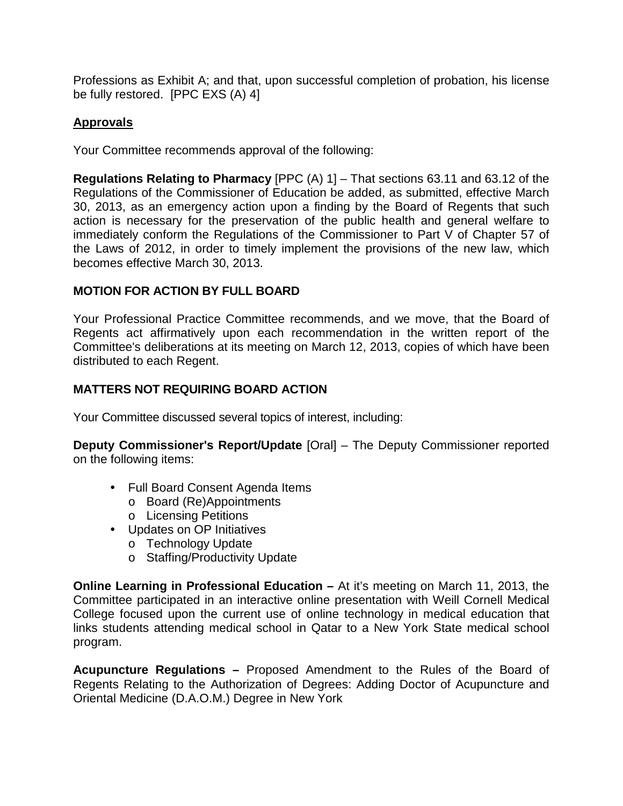Professions as Exhibit A; and that, upon successful completion of probation, his license be fully restored. [PPC EXS (A) 4]

## **Approvals**

Your Committee recommends approval of the following:

**Regulations Relating to Pharmacy** [PPC (A) 1] – That sections 63.11 and 63.12 of the Regulations of the Commissioner of Education be added, as submitted, effective March 30, 2013, as an emergency action upon a finding by the Board of Regents that such action is necessary for the preservation of the public health and general welfare to immediately conform the Regulations of the Commissioner to Part V of Chapter 57 of the Laws of 2012, in order to timely implement the provisions of the new law, which becomes effective March 30, 2013.

## **MOTION FOR ACTION BY FULL BOARD**

Your Professional Practice Committee recommends, and we move, that the Board of Regents act affirmatively upon each recommendation in the written report of the Committee's deliberations at its meeting on March 12, 2013, copies of which have been distributed to each Regent.

## **MATTERS NOT REQUIRING BOARD ACTION**

Your Committee discussed several topics of interest, including:

**Deputy Commissioner's Report/Update** [Oral] – The Deputy Commissioner reported on the following items:

- Full Board Consent Agenda Items
	- o Board (Re)Appointments
	- o Licensing Petitions
- Updates on OP Initiatives
	- o Technology Update
	- o Staffing/Productivity Update

**Online Learning in Professional Education –** At it's meeting on March 11, 2013, the Committee participated in an interactive online presentation with Weill Cornell Medical College focused upon the current use of online technology in medical education that links students attending medical school in Qatar to a New York State medical school program.

**Acupuncture Regulations –** Proposed Amendment to the Rules of the Board of Regents Relating to the Authorization of Degrees: Adding Doctor of Acupuncture and Oriental Medicine (D.A.O.M.) Degree in New York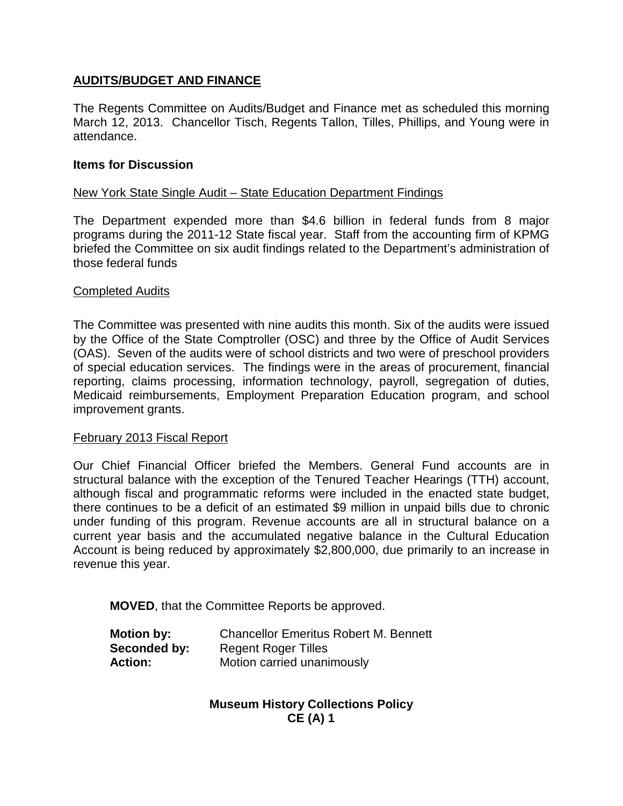## **AUDITS/BUDGET AND FINANCE**

The Regents Committee on Audits/Budget and Finance met as scheduled this morning March 12, 2013. Chancellor Tisch, Regents Tallon, Tilles, Phillips, and Young were in attendance.

#### **Items for Discussion**

### New York State Single Audit – State Education Department Findings

The Department expended more than \$4.6 billion in federal funds from 8 major programs during the 2011-12 State fiscal year. Staff from the accounting firm of KPMG briefed the Committee on six audit findings related to the Department's administration of those federal funds

#### Completed Audits

The Committee was presented with nine audits this month. Six of the audits were issued by the Office of the State Comptroller (OSC) and three by the Office of Audit Services (OAS). Seven of the audits were of school districts and two were of preschool providers of special education services. The findings were in the areas of procurement, financial reporting, claims processing, information technology, payroll, segregation of duties, Medicaid reimbursements, Employment Preparation Education program, and school improvement grants.

#### February 2013 Fiscal Report

Our Chief Financial Officer briefed the Members. General Fund accounts are in structural balance with the exception of the Tenured Teacher Hearings (TTH) account, although fiscal and programmatic reforms were included in the enacted state budget, there continues to be a deficit of an estimated \$9 million in unpaid bills due to chronic under funding of this program. Revenue accounts are all in structural balance on a current year basis and the accumulated negative balance in the Cultural Education Account is being reduced by approximately \$2,800,000, due primarily to an increase in revenue this year.

**MOVED**, that the Committee Reports be approved.

| <b>Motion by:</b> | <b>Chancellor Emeritus Robert M. Bennett</b> |
|-------------------|----------------------------------------------|
| Seconded by:      | <b>Regent Roger Tilles</b>                   |
| Action:           | Motion carried unanimously                   |

## **Museum History Collections Policy CE (A) 1**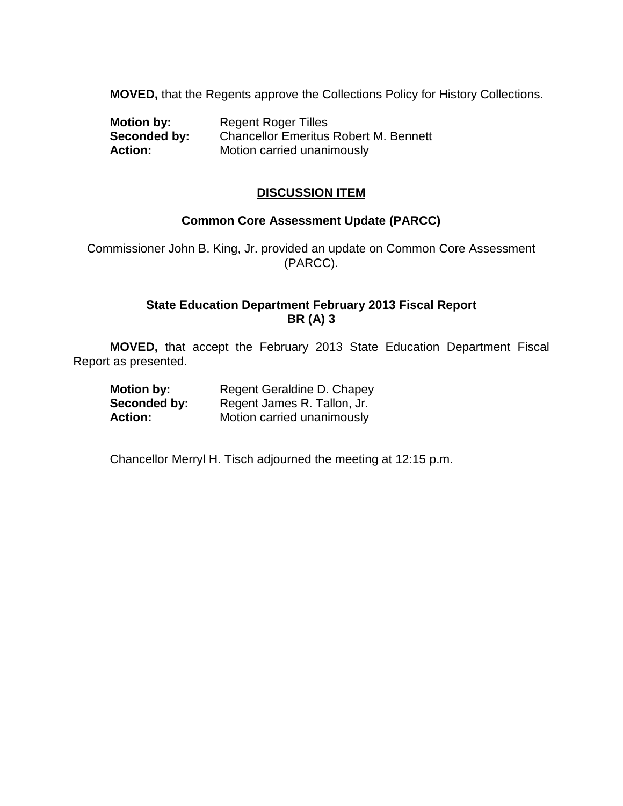**MOVED,** that the Regents approve the Collections Policy for History Collections.

| <b>Motion by:</b> | <b>Regent Roger Tilles</b>                   |
|-------------------|----------------------------------------------|
| Seconded by:      | <b>Chancellor Emeritus Robert M. Bennett</b> |
| <b>Action:</b>    | Motion carried unanimously                   |

## **DISCUSSION ITEM**

### **Common Core Assessment Update (PARCC)**

Commissioner John B. King, Jr. provided an update on Common Core Assessment (PARCC).

## **State Education Department February 2013 Fiscal Report BR (A) 3**

**MOVED,** that accept the February 2013 State Education Department Fiscal Report as presented.

| <b>Motion by:</b> | Regent Geraldine D. Chapey  |
|-------------------|-----------------------------|
| Seconded by:      | Regent James R. Tallon, Jr. |
| <b>Action:</b>    | Motion carried unanimously  |

Chancellor Merryl H. Tisch adjourned the meeting at 12:15 p.m.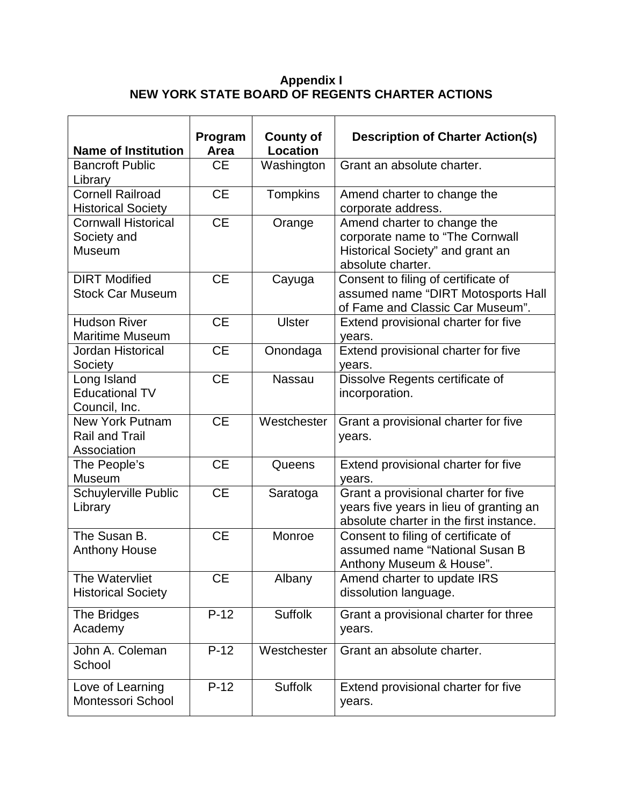## **Appendix I NEW YORK STATE BOARD OF REGENTS CHARTER ACTIONS**

| <b>Name of Institution</b>                                     | Program<br>Area | <b>County of</b><br><b>Location</b> | <b>Description of Charter Action(s)</b>                                                                                    |
|----------------------------------------------------------------|-----------------|-------------------------------------|----------------------------------------------------------------------------------------------------------------------------|
| <b>Bancroft Public</b><br>Library                              | <b>CE</b>       | Washington                          | Grant an absolute charter.                                                                                                 |
| Cornell Railroad<br><b>Historical Society</b>                  | <b>CE</b>       | Tompkins                            | Amend charter to change the<br>corporate address.                                                                          |
| <b>Cornwall Historical</b><br>Society and<br><b>Museum</b>     | <b>CE</b>       | Orange                              | Amend charter to change the<br>corporate name to "The Cornwall<br>Historical Society" and grant an<br>absolute charter.    |
| <b>DIRT</b> Modified<br><b>Stock Car Museum</b>                | <b>CE</b>       | Cayuga                              | Consent to filing of certificate of<br>assumed name "DIRT Motosports Hall<br>of Fame and Classic Car Museum".              |
| <b>Hudson River</b><br><b>Maritime Museum</b>                  | <b>CE</b>       | <b>Ulster</b>                       | Extend provisional charter for five<br>years.                                                                              |
| Jordan Historical<br>Society                                   | <b>CE</b>       | Onondaga                            | Extend provisional charter for five<br>years.                                                                              |
| Long Island<br><b>Educational TV</b><br>Council, Inc.          | <b>CE</b>       | <b>Nassau</b>                       | Dissolve Regents certificate of<br>incorporation.                                                                          |
| <b>New York Putnam</b><br><b>Rail and Trail</b><br>Association | <b>CE</b>       | Westchester                         | Grant a provisional charter for five<br>years.                                                                             |
| The People's<br>Museum                                         | <b>CE</b>       | Queens                              | Extend provisional charter for five<br>years.                                                                              |
| Schuylerville Public<br>Library                                | <b>CE</b>       | Saratoga                            | Grant a provisional charter for five<br>years five years in lieu of granting an<br>absolute charter in the first instance. |
| The Susan B.<br><b>Anthony House</b>                           | <b>CE</b>       | Monroe                              | Consent to filing of certificate of<br>assumed name "National Susan B<br>Anthony Museum & House".                          |
| The Watervliet<br><b>Historical Society</b>                    | <b>CE</b>       | Albany                              | Amend charter to update IRS<br>dissolution language.                                                                       |
| The Bridges<br>Academy                                         | $P-12$          | <b>Suffolk</b>                      | Grant a provisional charter for three<br>years.                                                                            |
| John A. Coleman<br>School                                      | $P-12$          | Westchester                         | Grant an absolute charter.                                                                                                 |
| Love of Learning<br>Montessori School                          | $P-12$          | <b>Suffolk</b>                      | Extend provisional charter for five<br>years.                                                                              |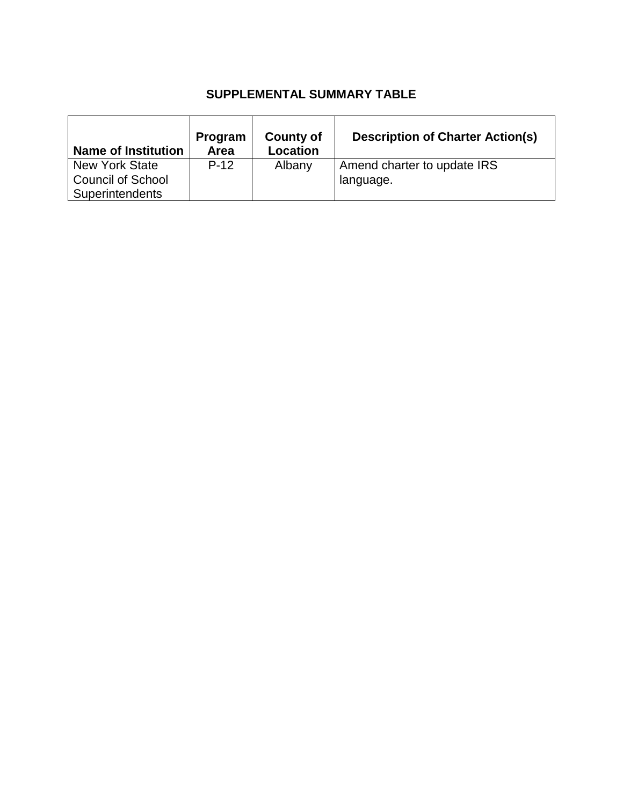# **SUPPLEMENTAL SUMMARY TABLE**

| <b>Name of Institution</b> | Program<br>Area | County of<br>Location | <b>Description of Charter Action(s)</b> |
|----------------------------|-----------------|-----------------------|-----------------------------------------|
| <b>New York State</b>      | $P-12$          | Albany                | Amend charter to update IRS             |
| <b>Council of School</b>   |                 |                       | language.                               |
| Superintendents            |                 |                       |                                         |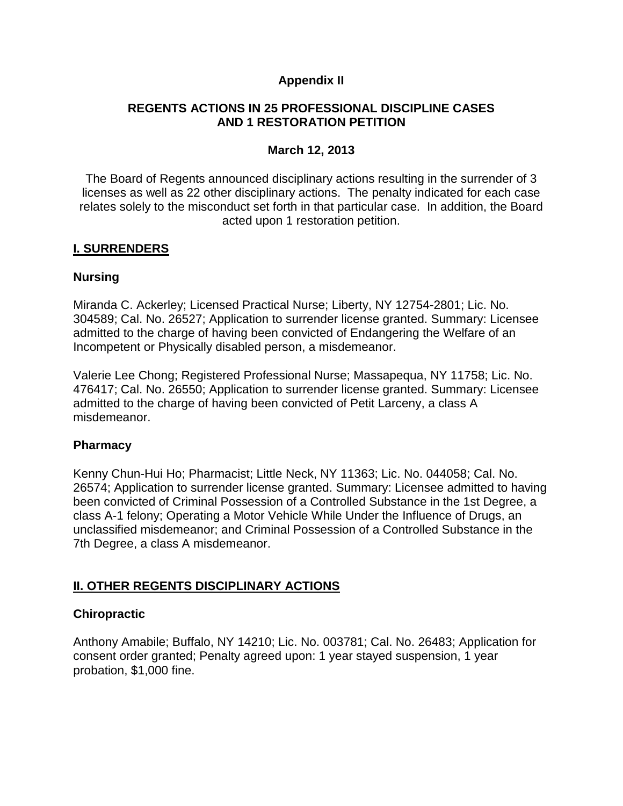## **Appendix II**

## **REGENTS ACTIONS IN 25 PROFESSIONAL DISCIPLINE CASES AND 1 RESTORATION PETITION**

## **March 12, 2013**

The Board of Regents announced disciplinary actions resulting in the surrender of 3 licenses as well as 22 other disciplinary actions. The penalty indicated for each case relates solely to the misconduct set forth in that particular case. In addition, the Board acted upon 1 restoration petition.

## **I. SURRENDERS**

## **Nursing**

Miranda C. Ackerley; Licensed Practical Nurse; Liberty, NY 12754-2801; Lic. No. 304589; Cal. No. 26527; Application to surrender license granted. Summary: Licensee admitted to the charge of having been convicted of Endangering the Welfare of an Incompetent or Physically disabled person, a misdemeanor.

Valerie Lee Chong; Registered Professional Nurse; Massapequa, NY 11758; Lic. No. 476417; Cal. No. 26550; Application to surrender license granted. Summary: Licensee admitted to the charge of having been convicted of Petit Larceny, a class A misdemeanor.

## **Pharmacy**

Kenny Chun-Hui Ho; Pharmacist; Little Neck, NY 11363; Lic. No. 044058; Cal. No. 26574; Application to surrender license granted. Summary: Licensee admitted to having been convicted of Criminal Possession of a Controlled Substance in the 1st Degree, a class A-1 felony; Operating a Motor Vehicle While Under the Influence of Drugs, an unclassified misdemeanor; and Criminal Possession of a Controlled Substance in the 7th Degree, a class A misdemeanor.

## **II. OTHER REGENTS DISCIPLINARY ACTIONS**

## **Chiropractic**

Anthony Amabile; Buffalo, NY 14210; Lic. No. 003781; Cal. No. 26483; Application for consent order granted; Penalty agreed upon: 1 year stayed suspension, 1 year probation, \$1,000 fine.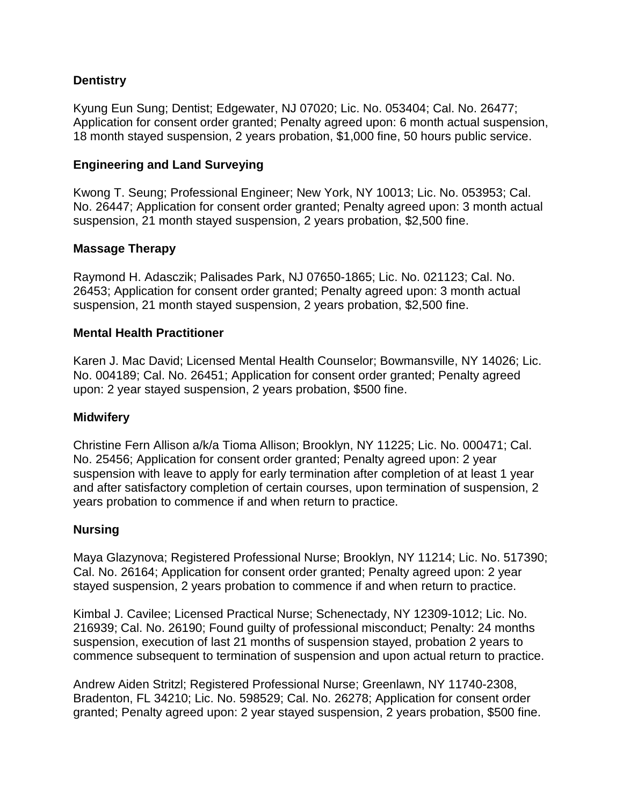## **Dentistry**

Kyung Eun Sung; Dentist; Edgewater, NJ 07020; Lic. No. 053404; Cal. No. 26477; Application for consent order granted; Penalty agreed upon: 6 month actual suspension, 18 month stayed suspension, 2 years probation, \$1,000 fine, 50 hours public service.

### **Engineering and Land Surveying**

Kwong T. Seung; Professional Engineer; New York, NY 10013; Lic. No. 053953; Cal. No. 26447; Application for consent order granted; Penalty agreed upon: 3 month actual suspension, 21 month stayed suspension, 2 years probation, \$2,500 fine.

### **Massage Therapy**

Raymond H. Adasczik; Palisades Park, NJ 07650-1865; Lic. No. 021123; Cal. No. 26453; Application for consent order granted; Penalty agreed upon: 3 month actual suspension, 21 month stayed suspension, 2 years probation, \$2,500 fine.

### **Mental Health Practitioner**

Karen J. Mac David; Licensed Mental Health Counselor; Bowmansville, NY 14026; Lic. No. 004189; Cal. No. 26451; Application for consent order granted; Penalty agreed upon: 2 year stayed suspension, 2 years probation, \$500 fine.

#### **Midwifery**

Christine Fern Allison a/k/a Tioma Allison; Brooklyn, NY 11225; Lic. No. 000471; Cal. No. 25456; Application for consent order granted; Penalty agreed upon: 2 year suspension with leave to apply for early termination after completion of at least 1 year and after satisfactory completion of certain courses, upon termination of suspension, 2 years probation to commence if and when return to practice.

## **Nursing**

Maya Glazynova; Registered Professional Nurse; Brooklyn, NY 11214; Lic. No. 517390; Cal. No. 26164; Application for consent order granted; Penalty agreed upon: 2 year stayed suspension, 2 years probation to commence if and when return to practice.

Kimbal J. Cavilee; Licensed Practical Nurse; Schenectady, NY 12309-1012; Lic. No. 216939; Cal. No. 26190; Found guilty of professional misconduct; Penalty: 24 months suspension, execution of last 21 months of suspension stayed, probation 2 years to commence subsequent to termination of suspension and upon actual return to practice.

Andrew Aiden Stritzl; Registered Professional Nurse; Greenlawn, NY 11740-2308, Bradenton, FL 34210; Lic. No. 598529; Cal. No. 26278; Application for consent order granted; Penalty agreed upon: 2 year stayed suspension, 2 years probation, \$500 fine.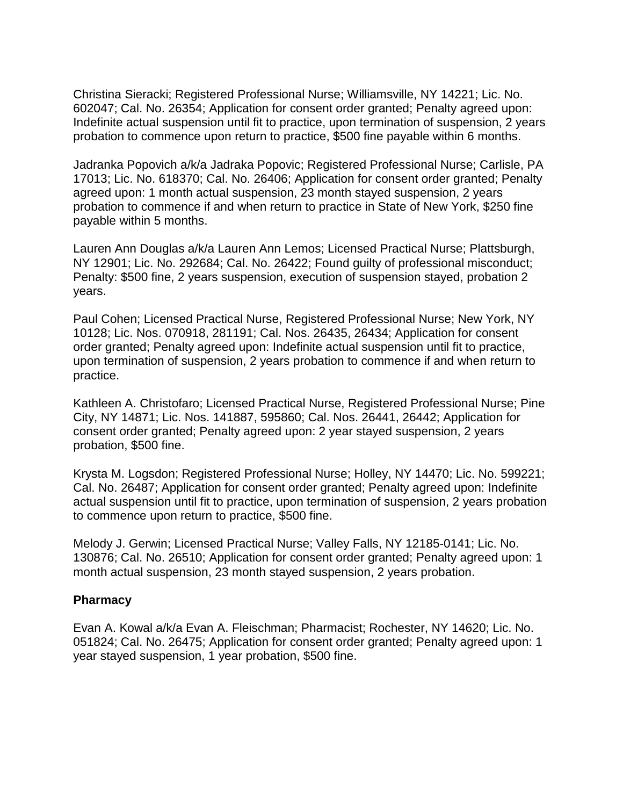Christina Sieracki; Registered Professional Nurse; Williamsville, NY 14221; Lic. No. 602047; Cal. No. 26354; Application for consent order granted; Penalty agreed upon: Indefinite actual suspension until fit to practice, upon termination of suspension, 2 years probation to commence upon return to practice, \$500 fine payable within 6 months.

Jadranka Popovich a/k/a Jadraka Popovic; Registered Professional Nurse; Carlisle, PA 17013; Lic. No. 618370; Cal. No. 26406; Application for consent order granted; Penalty agreed upon: 1 month actual suspension, 23 month stayed suspension, 2 years probation to commence if and when return to practice in State of New York, \$250 fine payable within 5 months.

Lauren Ann Douglas a/k/a Lauren Ann Lemos; Licensed Practical Nurse; Plattsburgh, NY 12901; Lic. No. 292684; Cal. No. 26422; Found guilty of professional misconduct; Penalty: \$500 fine, 2 years suspension, execution of suspension stayed, probation 2 years.

Paul Cohen; Licensed Practical Nurse, Registered Professional Nurse; New York, NY 10128; Lic. Nos. 070918, 281191; Cal. Nos. 26435, 26434; Application for consent order granted; Penalty agreed upon: Indefinite actual suspension until fit to practice, upon termination of suspension, 2 years probation to commence if and when return to practice.

Kathleen A. Christofaro; Licensed Practical Nurse, Registered Professional Nurse; Pine City, NY 14871; Lic. Nos. 141887, 595860; Cal. Nos. 26441, 26442; Application for consent order granted; Penalty agreed upon: 2 year stayed suspension, 2 years probation, \$500 fine.

Krysta M. Logsdon; Registered Professional Nurse; Holley, NY 14470; Lic. No. 599221; Cal. No. 26487; Application for consent order granted; Penalty agreed upon: Indefinite actual suspension until fit to practice, upon termination of suspension, 2 years probation to commence upon return to practice, \$500 fine.

Melody J. Gerwin; Licensed Practical Nurse; Valley Falls, NY 12185-0141; Lic. No. 130876; Cal. No. 26510; Application for consent order granted; Penalty agreed upon: 1 month actual suspension, 23 month stayed suspension, 2 years probation.

## **Pharmacy**

Evan A. Kowal a/k/a Evan A. Fleischman; Pharmacist; Rochester, NY 14620; Lic. No. 051824; Cal. No. 26475; Application for consent order granted; Penalty agreed upon: 1 year stayed suspension, 1 year probation, \$500 fine.